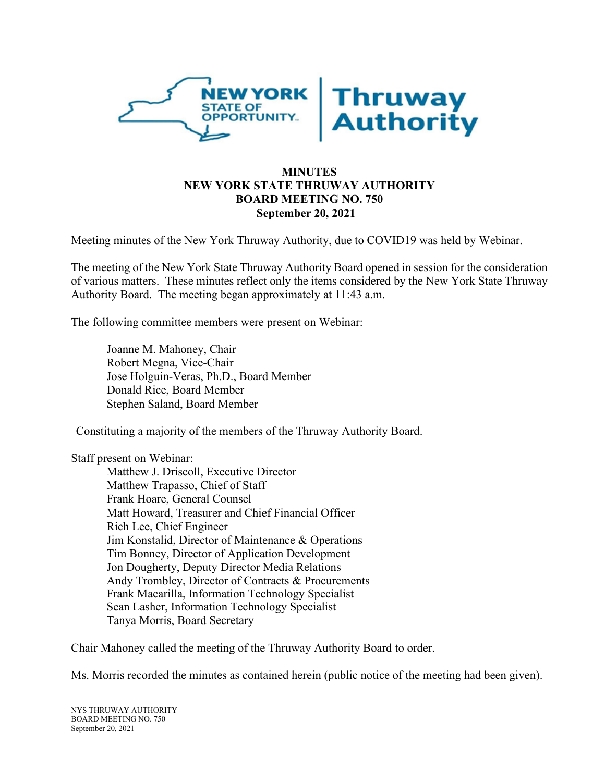

# **MINUTES NEW YORK STATE THRUWAY AUTHORITY BOARD MEETING NO. 750 September 20, 2021**

Meeting minutes of the New York Thruway Authority, due to COVID19 was held by Webinar.

The meeting of the New York State Thruway Authority Board opened in session for the consideration of various matters. These minutes reflect only the items considered by the New York State Thruway Authority Board. The meeting began approximately at 11:43 a.m.

The following committee members were present on Webinar:

Joanne M. Mahoney, Chair Robert Megna, Vice-Chair Jose Holguin-Veras, Ph.D., Board Member Donald Rice, Board Member Stephen Saland, Board Member

Constituting a majority of the members of the Thruway Authority Board.

Staff present on Webinar:

Matthew J. Driscoll, Executive Director Matthew Trapasso, Chief of Staff Frank Hoare, General Counsel Matt Howard, Treasurer and Chief Financial Officer Rich Lee, Chief Engineer Jim Konstalid, Director of Maintenance & Operations Tim Bonney, Director of Application Development Jon Dougherty, Deputy Director Media Relations Andy Trombley, Director of Contracts & Procurements Frank Macarilla, Information Technology Specialist Sean Lasher, Information Technology Specialist Tanya Morris, Board Secretary

Chair Mahoney called the meeting of the Thruway Authority Board to order.

Ms. Morris recorded the minutes as contained herein (public notice of the meeting had been given).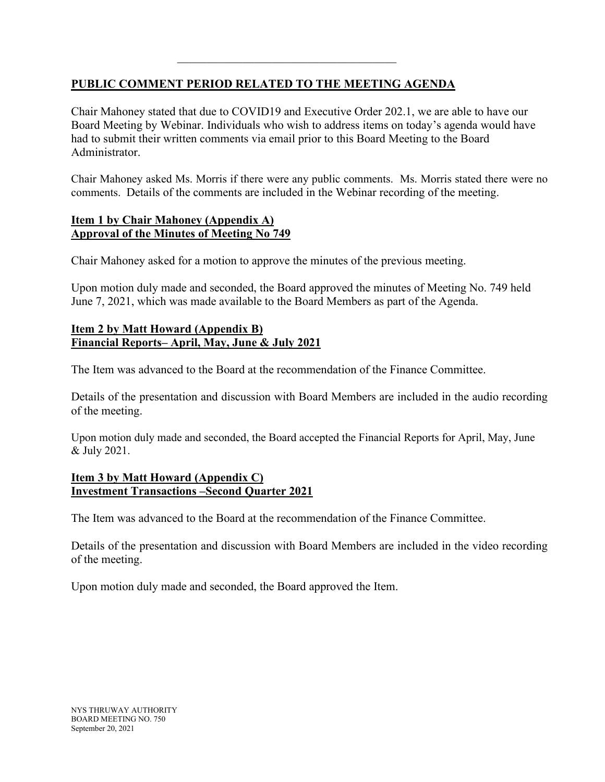# **PUBLIC COMMENT PERIOD RELATED TO THE MEETING AGENDA**

\_\_\_\_\_\_\_\_\_\_\_\_\_\_\_\_\_\_\_\_\_\_\_\_\_\_\_\_\_\_\_\_\_\_\_\_\_

Chair Mahoney stated that due to COVID19 and Executive Order 202.1, we are able to have our Board Meeting by Webinar. Individuals who wish to address items on today's agenda would have had to submit their written comments via email prior to this Board Meeting to the Board Administrator.

Chair Mahoney asked Ms. Morris if there were any public comments. Ms. Morris stated there were no comments. Details of the comments are included in the Webinar recording of the meeting.

### **Item 1 by Chair Mahoney (Appendix A) Approval of the Minutes of Meeting No 749**

Chair Mahoney asked for a motion to approve the minutes of the previous meeting.

Upon motion duly made and seconded, the Board approved the minutes of Meeting No. 749 held June 7, 2021, which was made available to the Board Members as part of the Agenda.

# **Item 2 by Matt Howard (Appendix B) Financial Reports– April, May, June & July 2021**

The Item was advanced to the Board at the recommendation of the Finance Committee.

Details of the presentation and discussion with Board Members are included in the audio recording of the meeting.

Upon motion duly made and seconded, the Board accepted the Financial Reports for April, May, June & July 2021.

### **Item 3 by Matt Howard (Appendix C) Investment Transactions –Second Quarter 2021**

The Item was advanced to the Board at the recommendation of the Finance Committee.

Details of the presentation and discussion with Board Members are included in the video recording of the meeting.

Upon motion duly made and seconded, the Board approved the Item.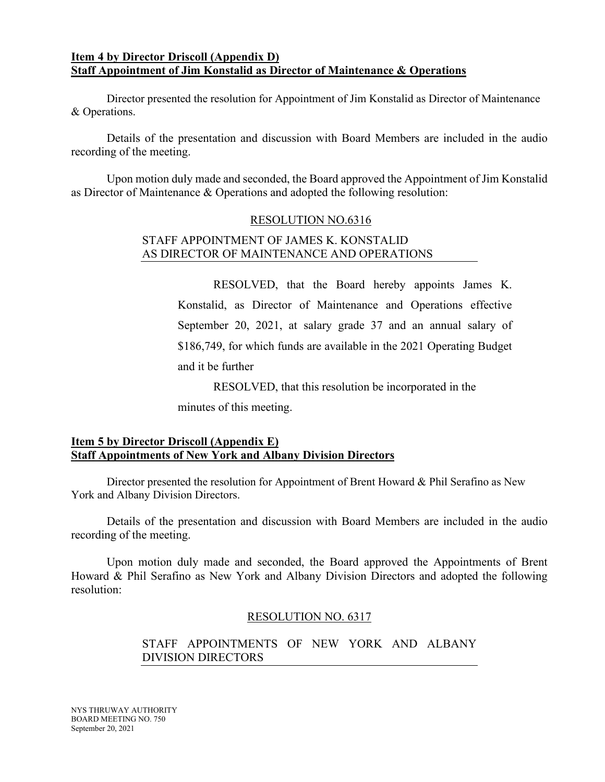### **Item 4 by Director Driscoll (Appendix D) Staff Appointment of Jim Konstalid as Director of Maintenance & Operations**

 Director presented the resolution for Appointment of Jim Konstalid as Director of Maintenance & Operations.

Details of the presentation and discussion with Board Members are included in the audio recording of the meeting.

Upon motion duly made and seconded, the Board approved the Appointment of Jim Konstalid as Director of Maintenance & Operations and adopted the following resolution:

### RESOLUTION NO.6316

### STAFF APPOINTMENT OF JAMES K. KONSTALID AS DIRECTOR OF MAINTENANCE AND OPERATIONS

RESOLVED, that the Board hereby appoints James K. Konstalid, as Director of Maintenance and Operations effective September 20, 2021, at salary grade 37 and an annual salary of \$186,749, for which funds are available in the 2021 Operating Budget and it be further

RESOLVED, that this resolution be incorporated in the

minutes of this meeting.

# **Item 5 by Director Driscoll (Appendix E) Staff Appointments of New York and Albany Division Directors**

 Director presented the resolution for Appointment of Brent Howard & Phil Serafino as New York and Albany Division Directors.

Details of the presentation and discussion with Board Members are included in the audio recording of the meeting.

Upon motion duly made and seconded, the Board approved the Appointments of Brent Howard & Phil Serafino as New York and Albany Division Directors and adopted the following resolution:

### RESOLUTION NO. 6317

# STAFF APPOINTMENTS OF NEW YORK AND ALBANY DIVISION DIRECTORS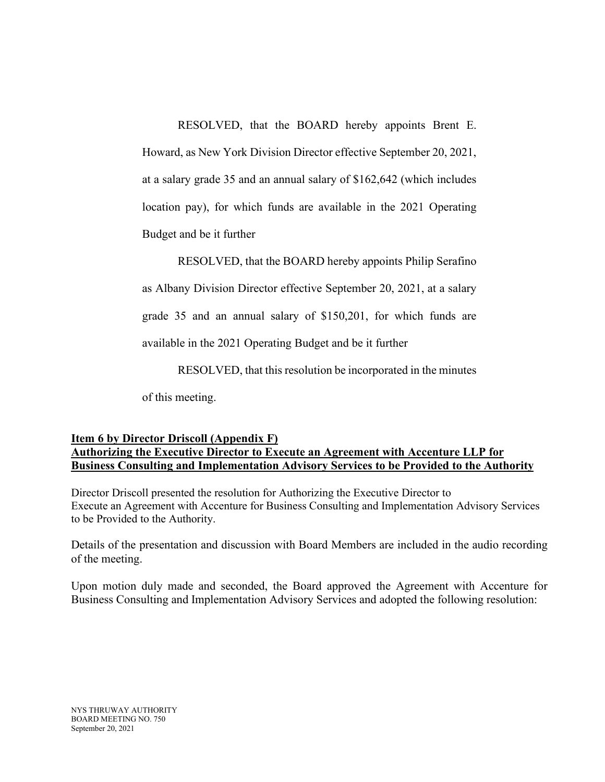RESOLVED, that the BOARD hereby appoints Brent E.

Howard, as New York Division Director effective September 20, 2021, at a salary grade 35 and an annual salary of \$162,642 (which includes location pay), for which funds are available in the 2021 Operating Budget and be it further

RESOLVED, that the BOARD hereby appoints Philip Serafino as Albany Division Director effective September 20, 2021, at a salary grade 35 and an annual salary of \$150,201, for which funds are available in the 2021 Operating Budget and be it further

RESOLVED, that this resolution be incorporated in the minutes of this meeting.

## **Item 6 by Director Driscoll (Appendix F) Authorizing the Executive Director to Execute an Agreement with Accenture LLP for Business Consulting and Implementation Advisory Services to be Provided to the Authority**

Director Driscoll presented the resolution for Authorizing the Executive Director to Execute an Agreement with Accenture for Business Consulting and Implementation Advisory Services to be Provided to the Authority.

Details of the presentation and discussion with Board Members are included in the audio recording of the meeting.

Upon motion duly made and seconded, the Board approved the Agreement with Accenture for Business Consulting and Implementation Advisory Services and adopted the following resolution: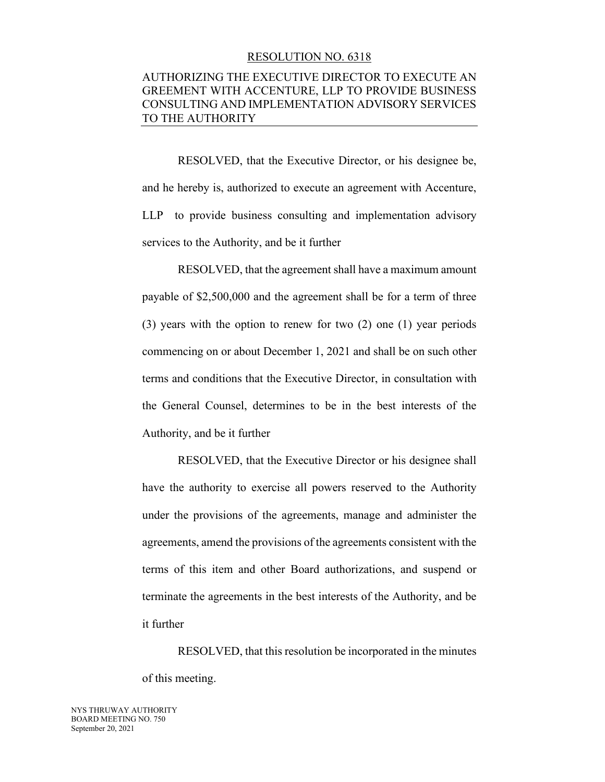#### RESOLUTION NO. 6318

### AUTHORIZING THE EXECUTIVE DIRECTOR TO EXECUTE AN GREEMENT WITH ACCENTURE, LLP TO PROVIDE BUSINESS CONSULTING AND IMPLEMENTATION ADVISORY SERVICES TO THE AUTHORITY

RESOLVED, that the Executive Director, or his designee be, and he hereby is, authorized to execute an agreement with Accenture, LLP to provide business consulting and implementation advisory services to the Authority, and be it further

RESOLVED, that the agreement shall have a maximum amount payable of \$2,500,000 and the agreement shall be for a term of three (3) years with the option to renew for two (2) one (1) year periods commencing on or about December 1, 2021 and shall be on such other terms and conditions that the Executive Director, in consultation with the General Counsel, determines to be in the best interests of the Authority, and be it further

RESOLVED, that the Executive Director or his designee shall have the authority to exercise all powers reserved to the Authority under the provisions of the agreements, manage and administer the agreements, amend the provisions of the agreements consistent with the terms of this item and other Board authorizations, and suspend or terminate the agreements in the best interests of the Authority, and be it further

RESOLVED, that this resolution be incorporated in the minutes of this meeting.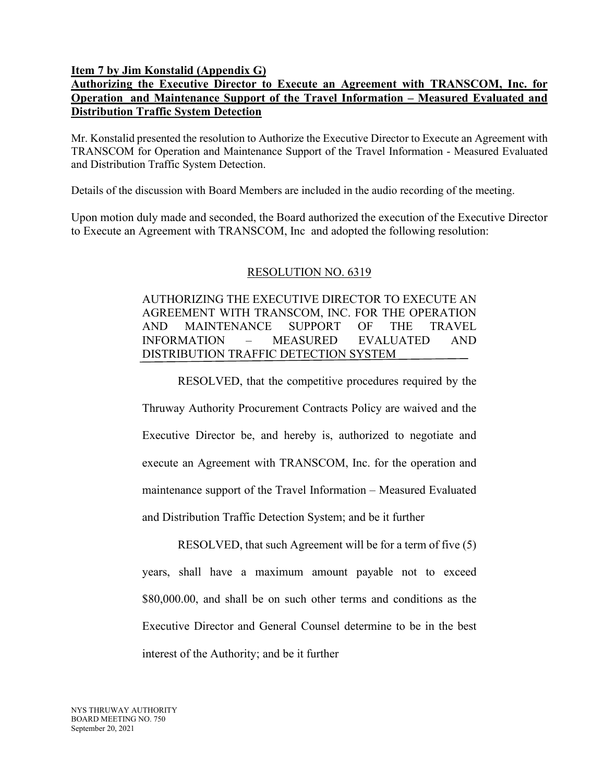**Item 7 by Jim Konstalid (Appendix G)**

# **Authorizing the Executive Director to Execute an Agreement with TRANSCOM, Inc. for Operation and Maintenance Support of the Travel Information – Measured Evaluated and Distribution Traffic System Detection**

Mr. Konstalid presented the resolution to Authorize the Executive Director to Execute an Agreement with TRANSCOM for Operation and Maintenance Support of the Travel Information - Measured Evaluated and Distribution Traffic System Detection.

Details of the discussion with Board Members are included in the audio recording of the meeting.

Upon motion duly made and seconded, the Board authorized the execution of the Executive Director to Execute an Agreement with TRANSCOM, Inc and adopted the following resolution:

### RESOLUTION NO. 6319

# AUTHORIZING THE EXECUTIVE DIRECTOR TO EXECUTE AN AGREEMENT WITH TRANSCOM, INC. FOR THE OPERATION AND MAINTENANCE SUPPORT OF THE TRAVEL INFORMATION – MEASURED EVALUATED AND DISTRIBUTION TRAFFIC DETECTION SYSTEM

RESOLVED, that the competitive procedures required by the

Thruway Authority Procurement Contracts Policy are waived and the Executive Director be, and hereby is, authorized to negotiate and execute an Agreement with TRANSCOM, Inc. for the operation and maintenance support of the Travel Information – Measured Evaluated and Distribution Traffic Detection System; and be it further

RESOLVED, that such Agreement will be for a term of five (5) years, shall have a maximum amount payable not to exceed \$80,000.00, and shall be on such other terms and conditions as the Executive Director and General Counsel determine to be in the best interest of the Authority; and be it further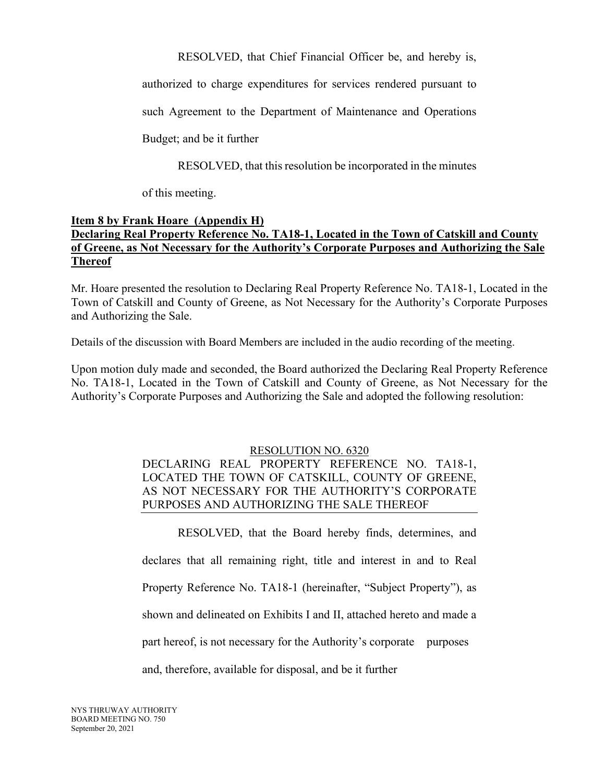RESOLVED, that Chief Financial Officer be, and hereby is,

authorized to charge expenditures for services rendered pursuant to

such Agreement to the Department of Maintenance and Operations

Budget; and be it further

RESOLVED, that this resolution be incorporated in the minutes

of this meeting.

# **Item 8 by Frank Hoare (Appendix H) Declaring Real Property Reference No. TA18-1, Located in the Town of Catskill and County of Greene, as Not Necessary for the Authority's Corporate Purposes and Authorizing the Sale Thereof**

Mr. Hoare presented the resolution to Declaring Real Property Reference No. TA18-1, Located in the Town of Catskill and County of Greene, as Not Necessary for the Authority's Corporate Purposes and Authorizing the Sale.

Details of the discussion with Board Members are included in the audio recording of the meeting.

Upon motion duly made and seconded, the Board authorized the Declaring Real Property Reference No. TA18-1, Located in the Town of Catskill and County of Greene, as Not Necessary for the Authority's Corporate Purposes and Authorizing the Sale and adopted the following resolution:

### RESOLUTION NO. 6320

# DECLARING REAL PROPERTY REFERENCE NO. TA18-1, LOCATED THE TOWN OF CATSKILL, COUNTY OF GREENE, AS NOT NECESSARY FOR THE AUTHORITY'S CORPORATE PURPOSES AND AUTHORIZING THE SALE THEREOF

RESOLVED, that the Board hereby finds, determines, and declares that all remaining right, title and interest in and to Real Property Reference No. TA18-1 (hereinafter, "Subject Property"), as shown and delineated on Exhibits I and II, attached hereto and made a part hereof, is not necessary for the Authority's corporate purposes and, therefore, available for disposal, and be it further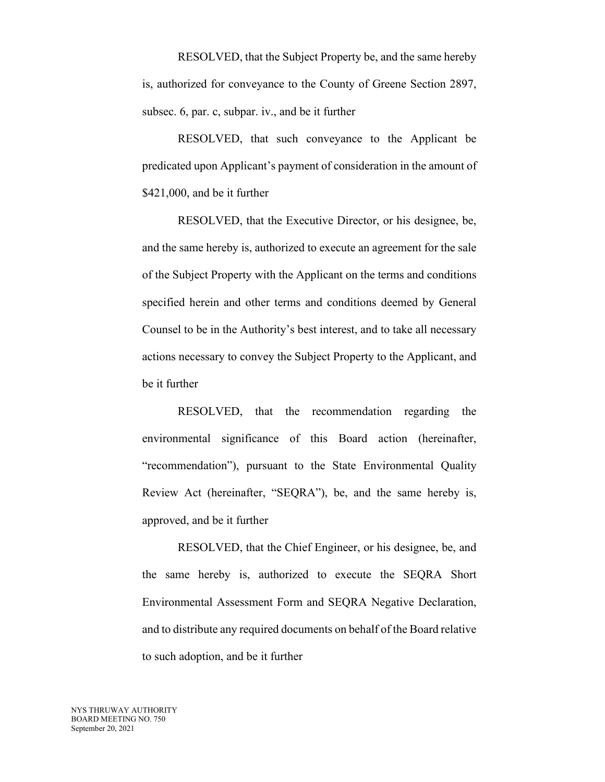RESOLVED, that the Subject Property be, and the same hereby is, authorized for conveyance to the County of Greene Section 2897, subsec. 6, par. c, subpar. iv., and be it further

RESOLVED, that such conveyance to the Applicant be predicated upon Applicant's payment of consideration in the amount of \$421,000, and be it further

RESOLVED, that the Executive Director, or his designee, be, and the same hereby is, authorized to execute an agreement for the sale of the Subject Property with the Applicant on the terms and conditions specified herein and other terms and conditions deemed by General Counsel to be in the Authority's best interest, and to take all necessary actions necessary to convey the Subject Property to the Applicant, and be it further

RESOLVED, that the recommendation regarding the environmental significance of this Board action (hereinafter, "recommendation"), pursuant to the State Environmental Quality Review Act (hereinafter, "SEQRA"), be, and the same hereby is, approved, and be it further

RESOLVED, that the Chief Engineer, or his designee, be, and the same hereby is, authorized to execute the SEQRA Short Environmental Assessment Form and SEQRA Negative Declaration, and to distribute any required documents on behalf of the Board relative to such adoption, and be it further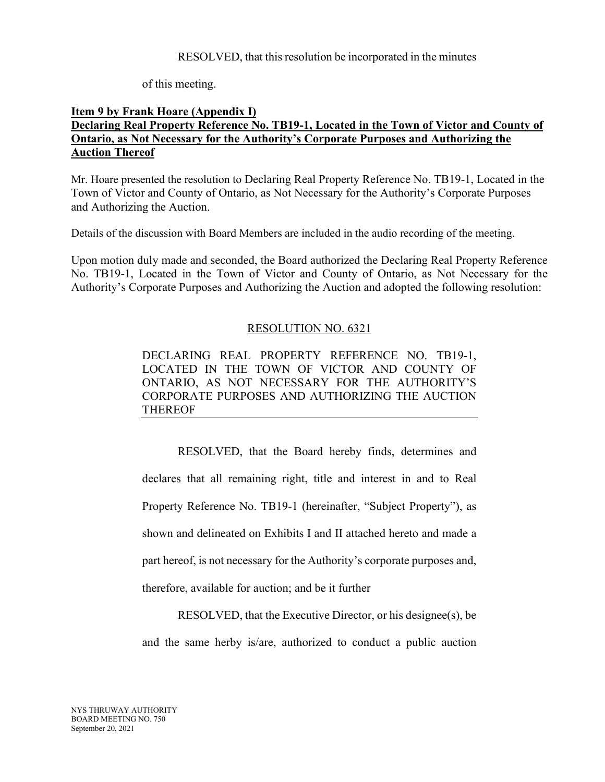### RESOLVED, that this resolution be incorporated in the minutes

of this meeting.

### **Item 9 by Frank Hoare (Appendix I) Declaring Real Property Reference No. TB19-1, Located in the Town of Victor and County of Ontario, as Not Necessary for the Authority's Corporate Purposes and Authorizing the Auction Thereof**

Mr. Hoare presented the resolution to Declaring Real Property Reference No. TB19-1, Located in the Town of Victor and County of Ontario, as Not Necessary for the Authority's Corporate Purposes and Authorizing the Auction.

Details of the discussion with Board Members are included in the audio recording of the meeting.

Upon motion duly made and seconded, the Board authorized the Declaring Real Property Reference No. TB19-1, Located in the Town of Victor and County of Ontario, as Not Necessary for the Authority's Corporate Purposes and Authorizing the Auction and adopted the following resolution:

# RESOLUTION NO. 6321

DECLARING REAL PROPERTY REFERENCE NO. TB19-1, LOCATED IN THE TOWN OF VICTOR AND COUNTY OF ONTARIO, AS NOT NECESSARY FOR THE AUTHORITY'S CORPORATE PURPOSES AND AUTHORIZING THE AUCTION THEREOF

RESOLVED, that the Board hereby finds, determines and declares that all remaining right, title and interest in and to Real Property Reference No. TB19-1 (hereinafter, "Subject Property"), as shown and delineated on Exhibits I and II attached hereto and made a part hereof, is not necessary for the Authority's corporate purposes and, therefore, available for auction; and be it further

RESOLVED, that the Executive Director, or his designee(s), be and the same herby is/are, authorized to conduct a public auction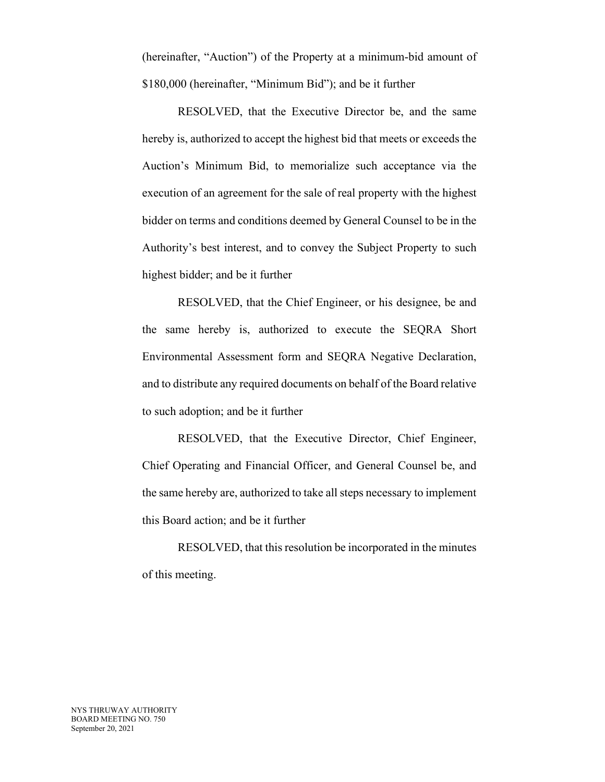(hereinafter, "Auction") of the Property at a minimum-bid amount of \$180,000 (hereinafter, "Minimum Bid"); and be it further

RESOLVED, that the Executive Director be, and the same hereby is, authorized to accept the highest bid that meets or exceeds the Auction's Minimum Bid, to memorialize such acceptance via the execution of an agreement for the sale of real property with the highest bidder on terms and conditions deemed by General Counsel to be in the Authority's best interest, and to convey the Subject Property to such highest bidder; and be it further

RESOLVED, that the Chief Engineer, or his designee, be and the same hereby is, authorized to execute the SEQRA Short Environmental Assessment form and SEQRA Negative Declaration, and to distribute any required documents on behalf of the Board relative to such adoption; and be it further

RESOLVED, that the Executive Director, Chief Engineer, Chief Operating and Financial Officer, and General Counsel be, and the same hereby are, authorized to take all steps necessary to implement this Board action; and be it further

RESOLVED, that this resolution be incorporated in the minutes of this meeting.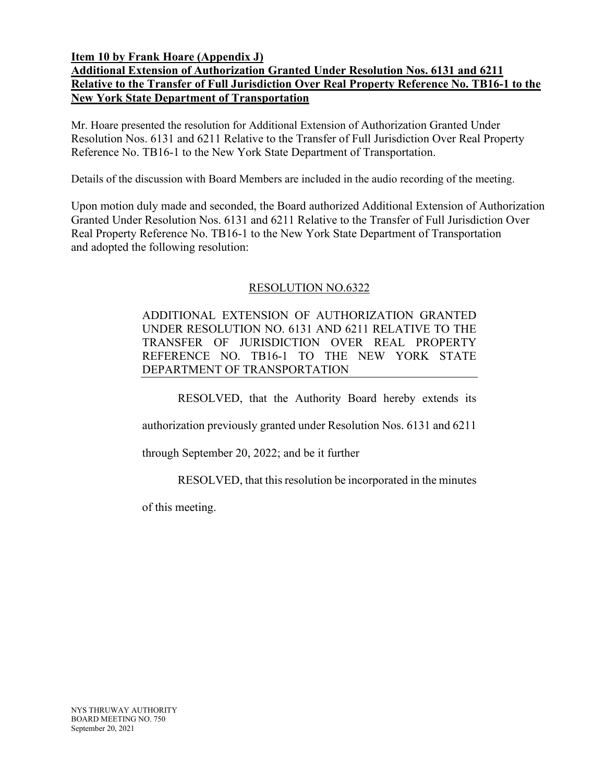**Item 10 by Frank Hoare (Appendix J)**

# **Additional Extension of Authorization Granted Under Resolution Nos. 6131 and 6211 Relative to the Transfer of Full Jurisdiction Over Real Property Reference No. TB16-1 to the New York State Department of Transportation**

Mr. Hoare presented the resolution for Additional Extension of Authorization Granted Under Resolution Nos. 6131 and 6211 Relative to the Transfer of Full Jurisdiction Over Real Property Reference No. TB16-1 to the New York State Department of Transportation.

Details of the discussion with Board Members are included in the audio recording of the meeting.

Upon motion duly made and seconded, the Board authorized Additional Extension of Authorization Granted Under Resolution Nos. 6131 and 6211 Relative to the Transfer of Full Jurisdiction Over Real Property Reference No. TB16-1 to the New York State Department of Transportation and adopted the following resolution:

### RESOLUTION NO.6322

ADDITIONAL EXTENSION OF AUTHORIZATION GRANTED UNDER RESOLUTION NO. 6131 AND 6211 RELATIVE TO THE TRANSFER OF JURISDICTION OVER REAL PROPERTY REFERENCE NO. TB16-1 TO THE NEW YORK STATE DEPARTMENT OF TRANSPORTATION

RESOLVED, that the Authority Board hereby extends its

authorization previously granted under Resolution Nos. 6131 and 6211

through September 20, 2022; and be it further

RESOLVED, that this resolution be incorporated in the minutes

of this meeting.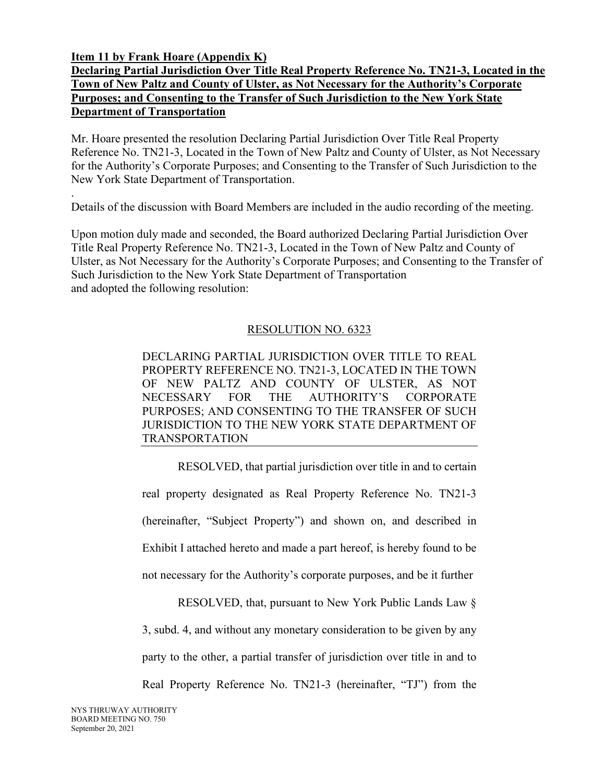**Item 11 by Frank Hoare (Appendix K)** 

# **Declaring Partial Jurisdiction Over Title Real Property Reference No. TN21-3, Located in the Town of New Paltz and County of Ulster, as Not Necessary for the Authority's Corporate Purposes; and Consenting to the Transfer of Such Jurisdiction to the New York State Department of Transportation**

Mr. Hoare presented the resolution Declaring Partial Jurisdiction Over Title Real Property Reference No. TN21-3, Located in the Town of New Paltz and County of Ulster, as Not Necessary for the Authority's Corporate Purposes; and Consenting to the Transfer of Such Jurisdiction to the New York State Department of Transportation.

. Details of the discussion with Board Members are included in the audio recording of the meeting.

Upon motion duly made and seconded, the Board authorized Declaring Partial Jurisdiction Over Title Real Property Reference No. TN21-3, Located in the Town of New Paltz and County of Ulster, as Not Necessary for the Authority's Corporate Purposes; and Consenting to the Transfer of Such Jurisdiction to the New York State Department of Transportation and adopted the following resolution:

# RESOLUTION NO. 6323

DECLARING PARTIAL JURISDICTION OVER TITLE TO REAL PROPERTY REFERENCE NO. TN21-3, LOCATED IN THE TOWN OF NEW PALTZ AND COUNTY OF ULSTER, AS NOT NECESSARY FOR THE AUTHORITY'S CORPORATE PURPOSES; AND CONSENTING TO THE TRANSFER OF SUCH JURISDICTION TO THE NEW YORK STATE DEPARTMENT OF TRANSPORTATION

RESOLVED, that partial jurisdiction over title in and to certain real property designated as Real Property Reference No. TN21-3 (hereinafter, "Subject Property") and shown on, and described in Exhibit I attached hereto and made a part hereof, is hereby found to be not necessary for the Authority's corporate purposes, and be it further

RESOLVED, that, pursuant to New York Public Lands Law § 3, subd. 4, and without any monetary consideration to be given by any party to the other, a partial transfer of jurisdiction over title in and to Real Property Reference No. TN21-3 (hereinafter, "TJ") from the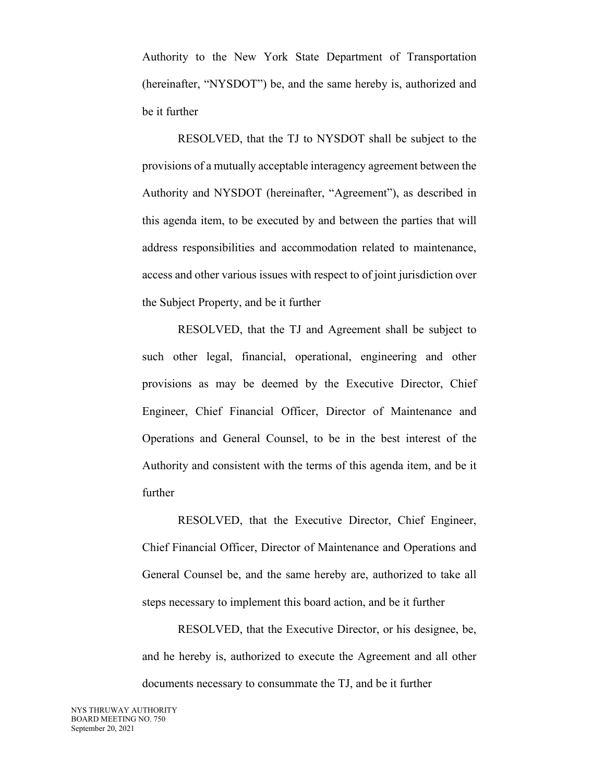Authority to the New York State Department of Transportation (hereinafter, "NYSDOT") be, and the same hereby is, authorized and be it further

RESOLVED, that the TJ to NYSDOT shall be subject to the provisions of a mutually acceptable interagency agreement between the Authority and NYSDOT (hereinafter, "Agreement"), as described in this agenda item, to be executed by and between the parties that will address responsibilities and accommodation related to maintenance, access and other various issues with respect to of joint jurisdiction over the Subject Property, and be it further

RESOLVED, that the TJ and Agreement shall be subject to such other legal, financial, operational, engineering and other provisions as may be deemed by the Executive Director, Chief Engineer, Chief Financial Officer, Director of Maintenance and Operations and General Counsel, to be in the best interest of the Authority and consistent with the terms of this agenda item, and be it further

RESOLVED, that the Executive Director, Chief Engineer, Chief Financial Officer, Director of Maintenance and Operations and General Counsel be, and the same hereby are, authorized to take all steps necessary to implement this board action, and be it further

RESOLVED, that the Executive Director, or his designee, be, and he hereby is, authorized to execute the Agreement and all other documents necessary to consummate the TJ, and be it further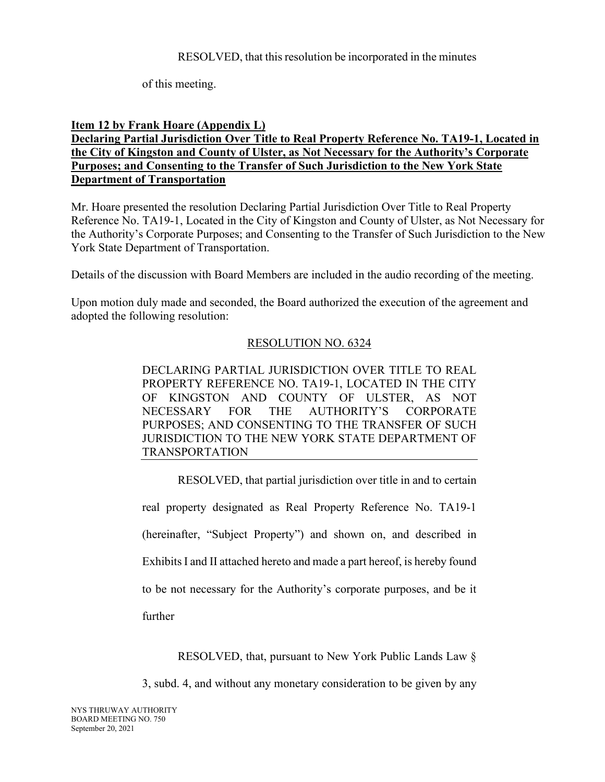of this meeting.

# **Item 12 by Frank Hoare (Appendix L)**

# **Declaring Partial Jurisdiction Over Title to Real Property Reference No. TA19-1, Located in the City of Kingston and County of Ulster, as Not Necessary for the Authority's Corporate Purposes; and Consenting to the Transfer of Such Jurisdiction to the New York State Department of Transportation**

Mr. Hoare presented the resolution Declaring Partial Jurisdiction Over Title to Real Property Reference No. TA19-1, Located in the City of Kingston and County of Ulster, as Not Necessary for the Authority's Corporate Purposes; and Consenting to the Transfer of Such Jurisdiction to the New York State Department of Transportation.

Details of the discussion with Board Members are included in the audio recording of the meeting.

Upon motion duly made and seconded, the Board authorized the execution of the agreement and adopted the following resolution:

# RESOLUTION NO. 6324

DECLARING PARTIAL JURISDICTION OVER TITLE TO REAL PROPERTY REFERENCE NO. TA19-1, LOCATED IN THE CITY OF KINGSTON AND COUNTY OF ULSTER, AS NOT NECESSARY FOR THE AUTHORITY'S CORPORATE PURPOSES; AND CONSENTING TO THE TRANSFER OF SUCH JURISDICTION TO THE NEW YORK STATE DEPARTMENT OF TRANSPORTATION

RESOLVED, that partial jurisdiction over title in and to certain

real property designated as Real Property Reference No. TA19-1 (hereinafter, "Subject Property") and shown on, and described in Exhibits I and II attached hereto and made a part hereof, is hereby found to be not necessary for the Authority's corporate purposes, and be it further

RESOLVED, that, pursuant to New York Public Lands Law §

3, subd. 4, and without any monetary consideration to be given by any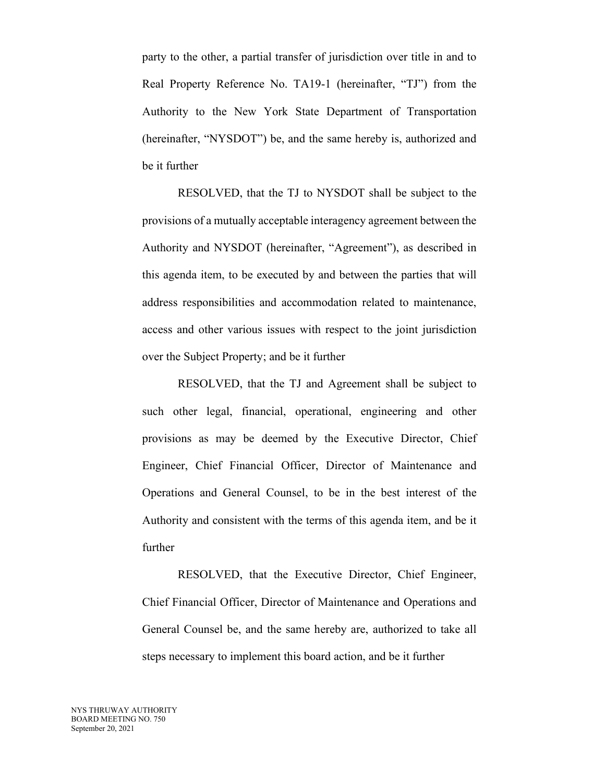party to the other, a partial transfer of jurisdiction over title in and to Real Property Reference No. TA19-1 (hereinafter, "TJ") from the Authority to the New York State Department of Transportation (hereinafter, "NYSDOT") be, and the same hereby is, authorized and be it further

RESOLVED, that the TJ to NYSDOT shall be subject to the provisions of a mutually acceptable interagency agreement between the Authority and NYSDOT (hereinafter, "Agreement"), as described in this agenda item, to be executed by and between the parties that will address responsibilities and accommodation related to maintenance, access and other various issues with respect to the joint jurisdiction over the Subject Property; and be it further

RESOLVED, that the TJ and Agreement shall be subject to such other legal, financial, operational, engineering and other provisions as may be deemed by the Executive Director, Chief Engineer, Chief Financial Officer, Director of Maintenance and Operations and General Counsel, to be in the best interest of the Authority and consistent with the terms of this agenda item, and be it further

RESOLVED, that the Executive Director, Chief Engineer, Chief Financial Officer, Director of Maintenance and Operations and General Counsel be, and the same hereby are, authorized to take all steps necessary to implement this board action, and be it further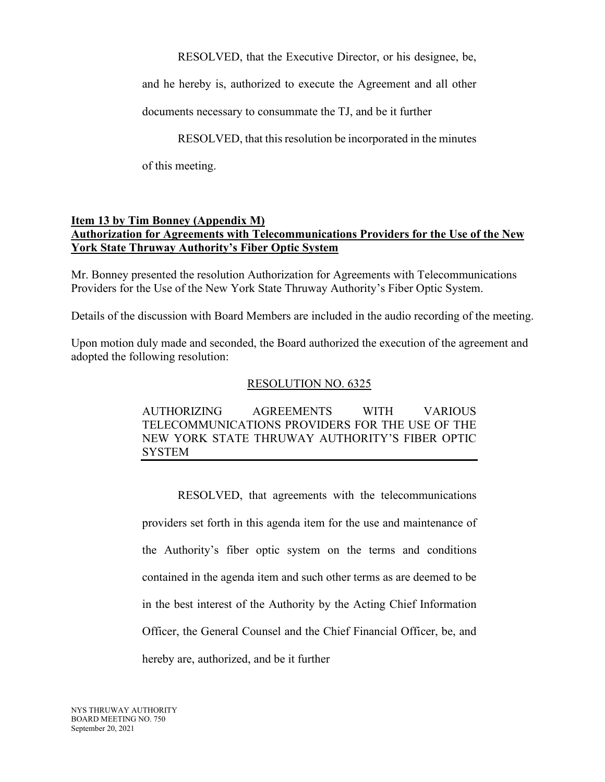RESOLVED, that the Executive Director, or his designee, be,

and he hereby is, authorized to execute the Agreement and all other

documents necessary to consummate the TJ, and be it further

RESOLVED, that this resolution be incorporated in the minutes

of this meeting.

# **Item 13 by Tim Bonney (Appendix M) Authorization for Agreements with Telecommunications Providers for the Use of the New York State Thruway Authority's Fiber Optic System**

Mr. Bonney presented the resolution Authorization for Agreements with Telecommunications Providers for the Use of the New York State Thruway Authority's Fiber Optic System.

Details of the discussion with Board Members are included in the audio recording of the meeting.

Upon motion duly made and seconded, the Board authorized the execution of the agreement and adopted the following resolution:

### RESOLUTION NO. 6325

AUTHORIZING AGREEMENTS WITH VARIOUS TELECOMMUNICATIONS PROVIDERS FOR THE USE OF THE NEW YORK STATE THRUWAY AUTHORITY'S FIBER OPTIC SYSTEM

RESOLVED, that agreements with the telecommunications providers set forth in this agenda item for the use and maintenance of the Authority's fiber optic system on the terms and conditions contained in the agenda item and such other terms as are deemed to be in the best interest of the Authority by the Acting Chief Information Officer, the General Counsel and the Chief Financial Officer, be, and hereby are, authorized, and be it further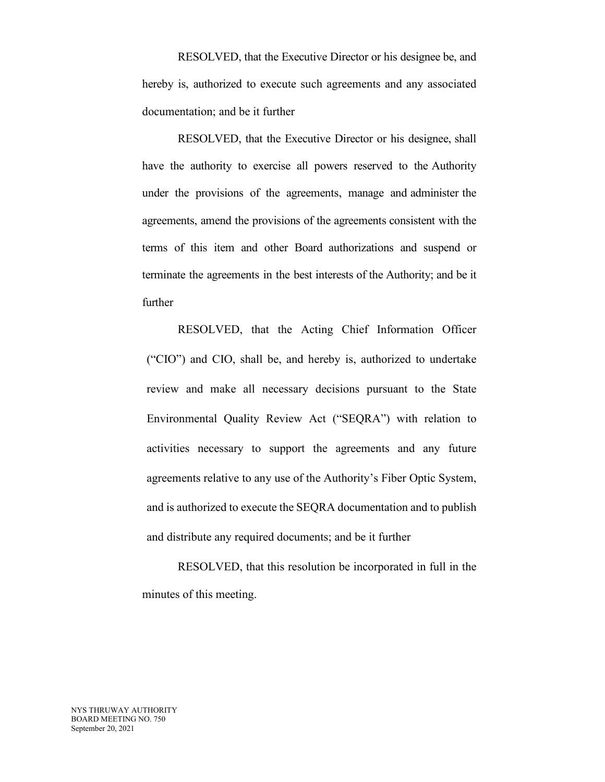RESOLVED, that the Executive Director or his designee be, and hereby is, authorized to execute such agreements and any associated documentation; and be it further

RESOLVED, that the Executive Director or his designee, shall have the authority to exercise all powers reserved to the Authority under the provisions of the agreements, manage and administer the agreements, amend the provisions of the agreements consistent with the terms of this item and other Board authorizations and suspend or terminate the agreements in the best interests of the Authority; and be it further

RESOLVED, that the Acting Chief Information Officer ("CIO") and CIO, shall be, and hereby is, authorized to undertake review and make all necessary decisions pursuant to the State Environmental Quality Review Act ("SEQRA") with relation to activities necessary to support the agreements and any future agreements relative to any use of the Authority's Fiber Optic System, and is authorized to execute the SEQRA documentation and to publish and distribute any required documents; and be it further

RESOLVED, that this resolution be incorporated in full in the minutes of this meeting.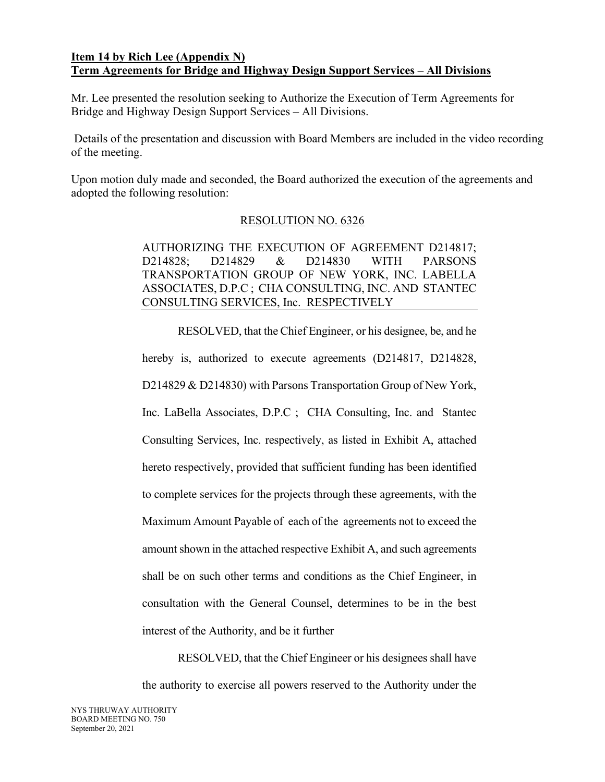### **Item 14 by Rich Lee (Appendix N) Term Agreements for Bridge and Highway Design Support Services – All Divisions**

Mr. Lee presented the resolution seeking to Authorize the Execution of Term Agreements for Bridge and Highway Design Support Services – All Divisions.

 Details of the presentation and discussion with Board Members are included in the video recording of the meeting.

Upon motion duly made and seconded, the Board authorized the execution of the agreements and adopted the following resolution:

# RESOLUTION NO. 6326

AUTHORIZING THE EXECUTION OF AGREEMENT D214817; D214828; D214829 & D214830 WITH PARSONS TRANSPORTATION GROUP OF NEW YORK, INC. LABELLA ASSOCIATES, D.P.C ; CHA CONSULTING, INC. AND STANTEC CONSULTING SERVICES, Inc. RESPECTIVELY

RESOLVED, that the Chief Engineer, or his designee, be, and he hereby is, authorized to execute agreements (D214817, D214828, D214829 & D214830) with Parsons Transportation Group of New York, Inc. LaBella Associates, D.P.C ; CHA Consulting, Inc. and Stantec Consulting Services, Inc. respectively, as listed in Exhibit A, attached hereto respectively, provided that sufficient funding has been identified to complete services for the projects through these agreements, with the Maximum Amount Payable of each of the agreements not to exceed the amount shown in the attached respective Exhibit A, and such agreements shall be on such other terms and conditions as the Chief Engineer, in consultation with the General Counsel, determines to be in the best interest of the Authority, and be it further

RESOLVED, that the Chief Engineer or his designees shall have the authority to exercise all powers reserved to the Authority under the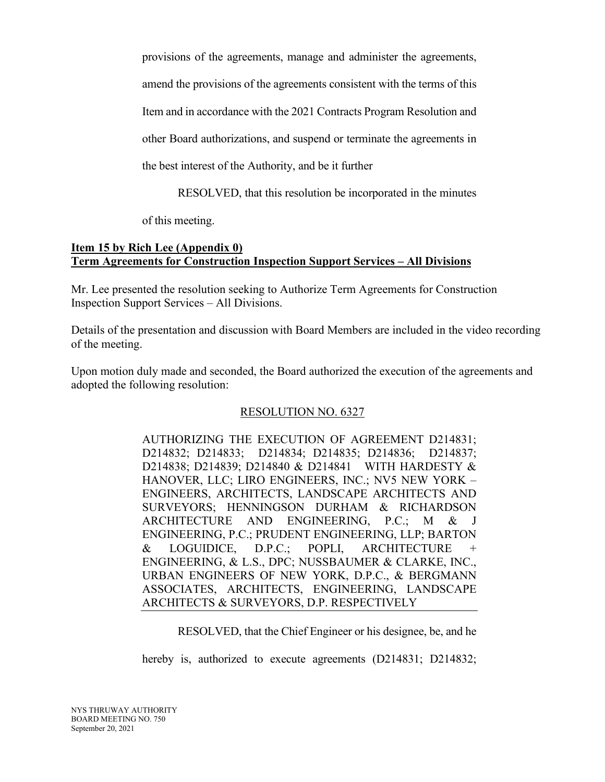provisions of the agreements, manage and administer the agreements,

amend the provisions of the agreements consistent with the terms of this

Item and in accordance with the 2021 Contracts Program Resolution and

other Board authorizations, and suspend or terminate the agreements in

the best interest of the Authority, and be it further

RESOLVED, that this resolution be incorporated in the minutes

of this meeting.

### **Item 15 by Rich Lee (Appendix 0) Term Agreements for Construction Inspection Support Services – All Divisions**

Mr. Lee presented the resolution seeking to Authorize Term Agreements for Construction Inspection Support Services – All Divisions.

Details of the presentation and discussion with Board Members are included in the video recording of the meeting.

Upon motion duly made and seconded, the Board authorized the execution of the agreements and adopted the following resolution:

# RESOLUTION NO. 6327

AUTHORIZING THE EXECUTION OF AGREEMENT D214831; D214832; D214833; D214834; D214835; D214836; D214837; D214838; D214839; D214840 & D214841 WITH HARDESTY & HANOVER, LLC; LIRO ENGINEERS, INC.; NV5 NEW YORK – ENGINEERS, ARCHITECTS, LANDSCAPE ARCHITECTS AND SURVEYORS; HENNINGSON DURHAM & RICHARDSON ARCHITECTURE AND ENGINEERING, P.C.; M & J ENGINEERING, P.C.; PRUDENT ENGINEERING, LLP; BARTON & LOGUIDICE, D.P.C.; POPLI, ARCHITECTURE + ENGINEERING, & L.S., DPC; NUSSBAUMER & CLARKE, INC., URBAN ENGINEERS OF NEW YORK, D.P.C., & BERGMANN ASSOCIATES, ARCHITECTS, ENGINEERING, LANDSCAPE ARCHITECTS & SURVEYORS, D.P. RESPECTIVELY

RESOLVED, that the Chief Engineer or his designee, be, and he

hereby is, authorized to execute agreements (D214831; D214832;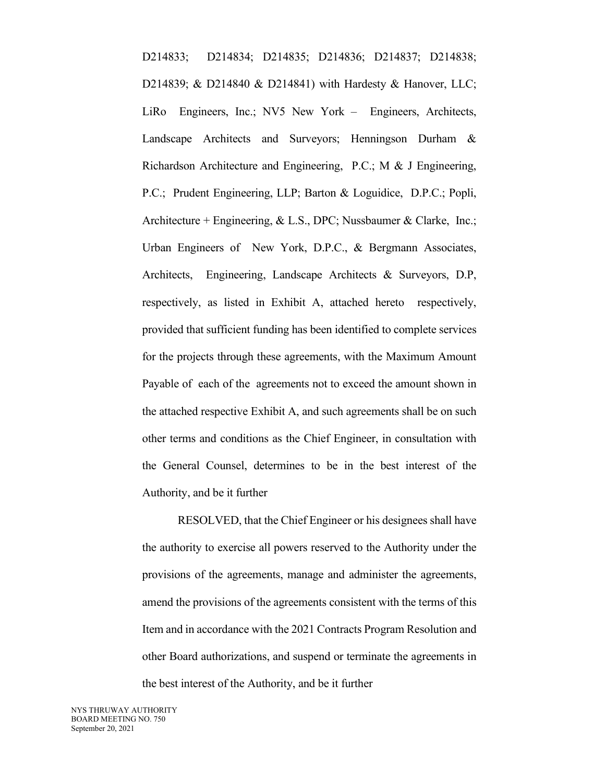D214833; D214834; D214835; D214836; D214837; D214838; D214839; & D214840 & D214841) with Hardesty & Hanover, LLC; LiRo Engineers, Inc.; NV5 New York – Engineers, Architects, Landscape Architects and Surveyors; Henningson Durham & Richardson Architecture and Engineering, P.C.; M & J Engineering, P.C.; Prudent Engineering, LLP; Barton & Loguidice, D.P.C.; Popli, Architecture + Engineering, & L.S., DPC; Nussbaumer & Clarke, Inc.; Urban Engineers of New York, D.P.C., & Bergmann Associates, Architects, Engineering, Landscape Architects & Surveyors, D.P, respectively, as listed in Exhibit A, attached hereto respectively, provided that sufficient funding has been identified to complete services for the projects through these agreements, with the Maximum Amount Payable of each of the agreements not to exceed the amount shown in the attached respective Exhibit A, and such agreements shall be on such other terms and conditions as the Chief Engineer, in consultation with the General Counsel, determines to be in the best interest of the Authority, and be it further

RESOLVED, that the Chief Engineer or his designees shall have the authority to exercise all powers reserved to the Authority under the provisions of the agreements, manage and administer the agreements, amend the provisions of the agreements consistent with the terms of this Item and in accordance with the 2021 Contracts Program Resolution and other Board authorizations, and suspend or terminate the agreements in the best interest of the Authority, and be it further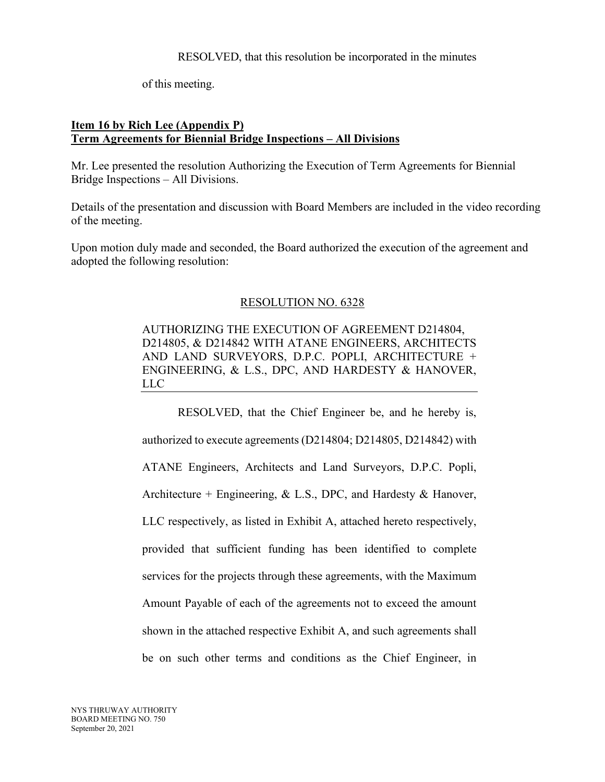of this meeting.

### **Item 16 by Rich Lee (Appendix P) Term Agreements for Biennial Bridge Inspections – All Divisions**

Mr. Lee presented the resolution Authorizing the Execution of Term Agreements for Biennial Bridge Inspections – All Divisions.

Details of the presentation and discussion with Board Members are included in the video recording of the meeting.

Upon motion duly made and seconded, the Board authorized the execution of the agreement and adopted the following resolution:

# RESOLUTION NO. 6328

AUTHORIZING THE EXECUTION OF AGREEMENT D214804, D214805, & D214842 WITH ATANE ENGINEERS, ARCHITECTS AND LAND SURVEYORS, D.P.C. POPLI, ARCHITECTURE + ENGINEERING, & L.S., DPC, AND HARDESTY & HANOVER, LLC

RESOLVED, that the Chief Engineer be, and he hereby is, authorized to execute agreements (D214804; D214805, D214842) with ATANE Engineers, Architects and Land Surveyors, D.P.C. Popli, Architecture + Engineering, & L.S., DPC, and Hardesty & Hanover, LLC respectively, as listed in Exhibit A, attached hereto respectively, provided that sufficient funding has been identified to complete services for the projects through these agreements, with the Maximum Amount Payable of each of the agreements not to exceed the amount shown in the attached respective Exhibit A, and such agreements shall be on such other terms and conditions as the Chief Engineer, in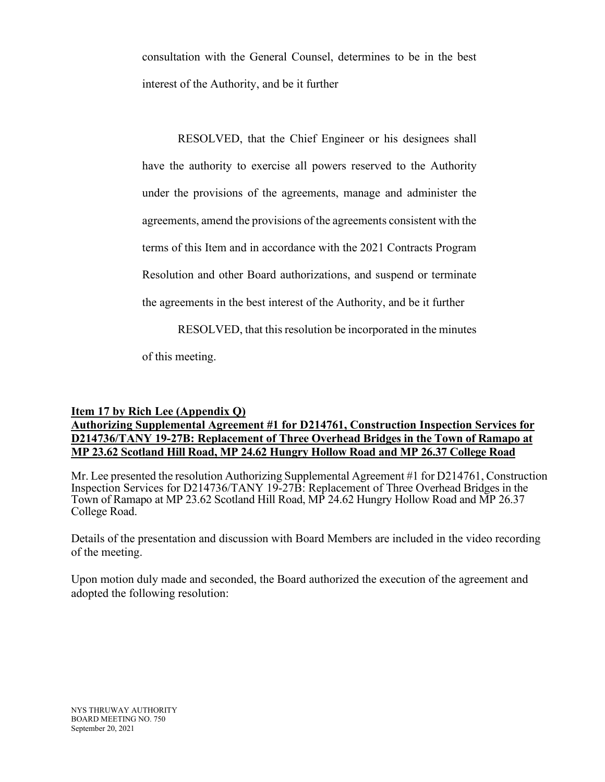consultation with the General Counsel, determines to be in the best interest of the Authority, and be it further

RESOLVED, that the Chief Engineer or his designees shall have the authority to exercise all powers reserved to the Authority under the provisions of the agreements, manage and administer the agreements, amend the provisions of the agreements consistent with the terms of this Item and in accordance with the 2021 Contracts Program Resolution and other Board authorizations, and suspend or terminate the agreements in the best interest of the Authority, and be it further

RESOLVED, that this resolution be incorporated in the minutes

of this meeting.

### **Item 17 by Rich Lee (Appendix Q) Authorizing Supplemental Agreement #1 for D214761, Construction Inspection Services for D214736/TANY 19-27B: Replacement of Three Overhead Bridges in the Town of Ramapo at MP 23.62 Scotland Hill Road, MP 24.62 Hungry Hollow Road and MP 26.37 College Road**

Mr. Lee presented the resolution Authorizing Supplemental Agreement #1 for D214761, Construction Inspection Services for D214736/TANY 19-27B: Replacement of Three Overhead Bridges in the Town of Ramapo at MP 23.62 Scotland Hill Road, MP 24.62 Hungry Hollow Road and MP 26.37 College Road.

Details of the presentation and discussion with Board Members are included in the video recording of the meeting.

Upon motion duly made and seconded, the Board authorized the execution of the agreement and adopted the following resolution: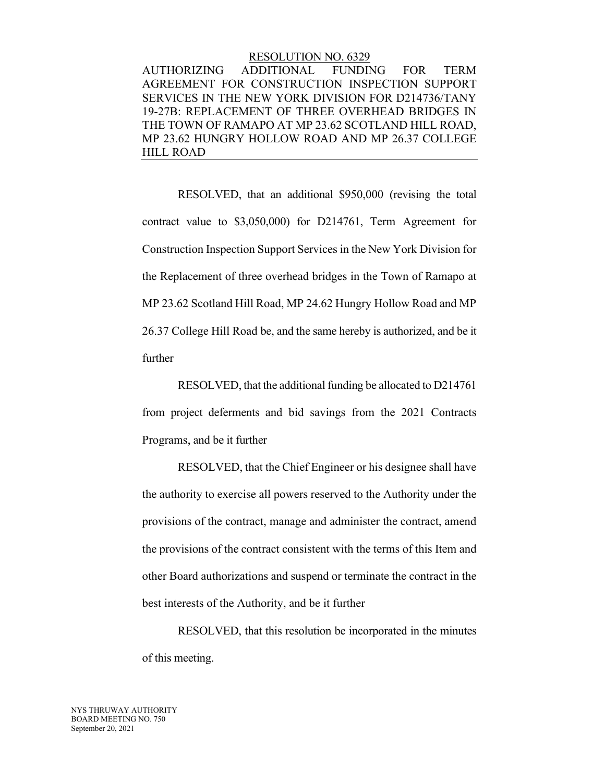#### RESOLUTION NO. 6329

AUTHORIZING ADDITIONAL FUNDING FOR TERM AGREEMENT FOR CONSTRUCTION INSPECTION SUPPORT SERVICES IN THE NEW YORK DIVISION FOR D214736/TANY 19-27B: REPLACEMENT OF THREE OVERHEAD BRIDGES IN THE TOWN OF RAMAPO AT MP 23.62 SCOTLAND HILL ROAD, MP 23.62 HUNGRY HOLLOW ROAD AND MP 26.37 COLLEGE HILL ROAD

 RESOLVED, that an additional \$950,000 (revising the total contract value to \$3,050,000) for D214761, Term Agreement for Construction Inspection Support Services in the New York Division for the Replacement of three overhead bridges in the Town of Ramapo at MP 23.62 Scotland Hill Road, MP 24.62 Hungry Hollow Road and MP 26.37 College Hill Road be, and the same hereby is authorized, and be it further

 RESOLVED, that the additional funding be allocated to D214761 from project deferments and bid savings from the 2021 Contracts Programs, and be it further

 RESOLVED, that the Chief Engineer or his designee shall have the authority to exercise all powers reserved to the Authority under the provisions of the contract, manage and administer the contract, amend the provisions of the contract consistent with the terms of this Item and other Board authorizations and suspend or terminate the contract in the best interests of the Authority, and be it further

 RESOLVED, that this resolution be incorporated in the minutes of this meeting.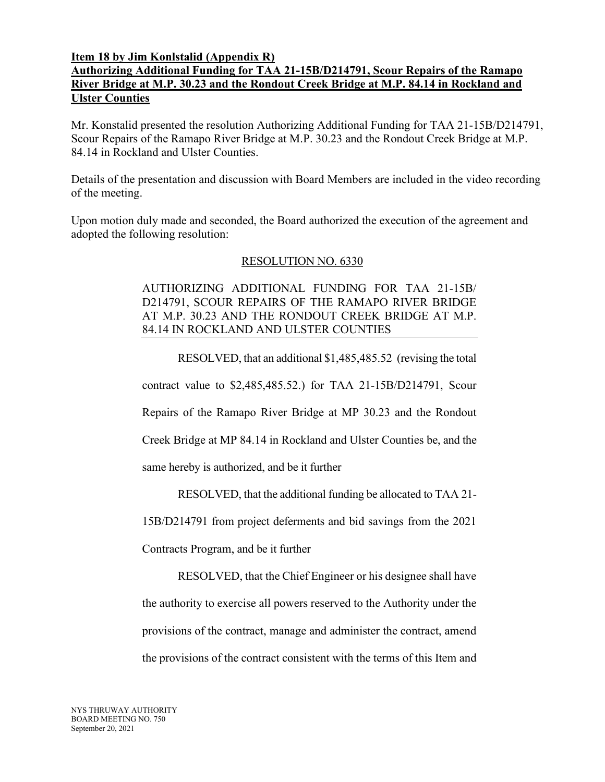## **Item 18 by Jim Konlstalid (Appendix R) Authorizing Additional Funding for TAA 21-15B/D214791, Scour Repairs of the Ramapo River Bridge at M.P. 30.23 and the Rondout Creek Bridge at M.P. 84.14 in Rockland and Ulster Counties**

Mr. Konstalid presented the resolution Authorizing Additional Funding for TAA 21-15B/D214791, Scour Repairs of the Ramapo River Bridge at M.P. 30.23 and the Rondout Creek Bridge at M.P. 84.14 in Rockland and Ulster Counties.

Details of the presentation and discussion with Board Members are included in the video recording of the meeting.

Upon motion duly made and seconded, the Board authorized the execution of the agreement and adopted the following resolution:

# RESOLUTION NO. 6330

# AUTHORIZING ADDITIONAL FUNDING FOR TAA 21-15B/ D214791, SCOUR REPAIRS OF THE RAMAPO RIVER BRIDGE AT M.P. 30.23 AND THE RONDOUT CREEK BRIDGE AT M.P. 84.14 IN ROCKLAND AND ULSTER COUNTIES

 RESOLVED, that an additional \$1,485,485.52 (revising the total contract value to \$2,485,485.52.) for TAA 21-15B/D214791, Scour Repairs of the Ramapo River Bridge at MP 30.23 and the Rondout Creek Bridge at MP 84.14 in Rockland and Ulster Counties be, and the

same hereby is authorized, and be it further

RESOLVED, that the additional funding be allocated to TAA 21-

15B/D214791 from project deferments and bid savings from the 2021

Contracts Program, and be it further

 RESOLVED, that the Chief Engineer or his designee shall have the authority to exercise all powers reserved to the Authority under the provisions of the contract, manage and administer the contract, amend the provisions of the contract consistent with the terms of this Item and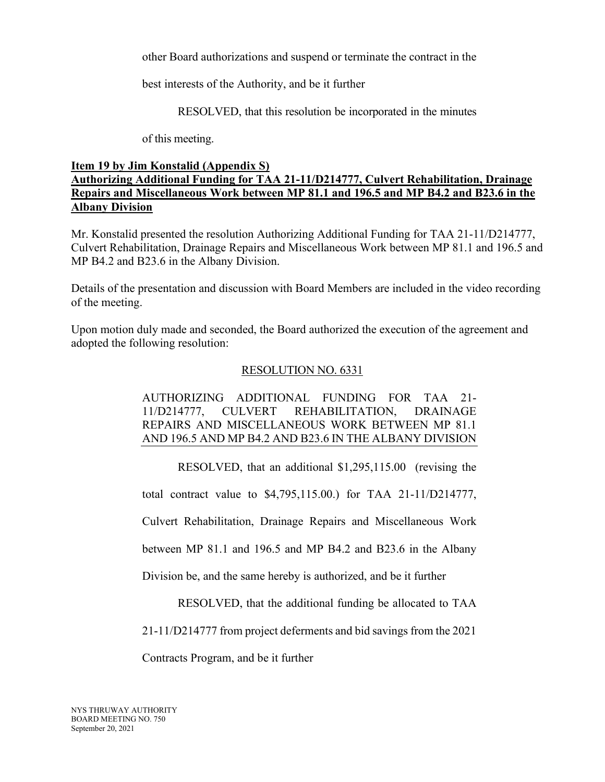other Board authorizations and suspend or terminate the contract in the

best interests of the Authority, and be it further

RESOLVED, that this resolution be incorporated in the minutes

of this meeting.

# **Item 19 by Jim Konstalid (Appendix S) Authorizing Additional Funding for TAA 21-11/D214777, Culvert Rehabilitation, Drainage Repairs and Miscellaneous Work between MP 81.1 and 196.5 and MP B4.2 and B23.6 in the Albany Division**

Mr. Konstalid presented the resolution Authorizing Additional Funding for TAA 21-11/D214777, Culvert Rehabilitation, Drainage Repairs and Miscellaneous Work between MP 81.1 and 196.5 and MP B4.2 and B23.6 in the Albany Division.

Details of the presentation and discussion with Board Members are included in the video recording of the meeting.

Upon motion duly made and seconded, the Board authorized the execution of the agreement and adopted the following resolution:

# RESOLUTION NO. 6331

# AUTHORIZING ADDITIONAL FUNDING FOR TAA 21- 11/D214777, CULVERT REHABILITATION, DRAINAGE REPAIRS AND MISCELLANEOUS WORK BETWEEN MP 81.1 AND 196.5 AND MP B4.2 AND B23.6 IN THE ALBANY DIVISION

RESOLVED, that an additional \$1,295,115.00 (revising the

total contract value to \$4,795,115.00.) for TAA 21-11/D214777,

Culvert Rehabilitation, Drainage Repairs and Miscellaneous Work

between MP 81.1 and 196.5 and MP B4.2 and B23.6 in the Albany

Division be, and the same hereby is authorized, and be it further

RESOLVED, that the additional funding be allocated to TAA

21-11/D214777 from project deferments and bid savings from the 2021

Contracts Program, and be it further